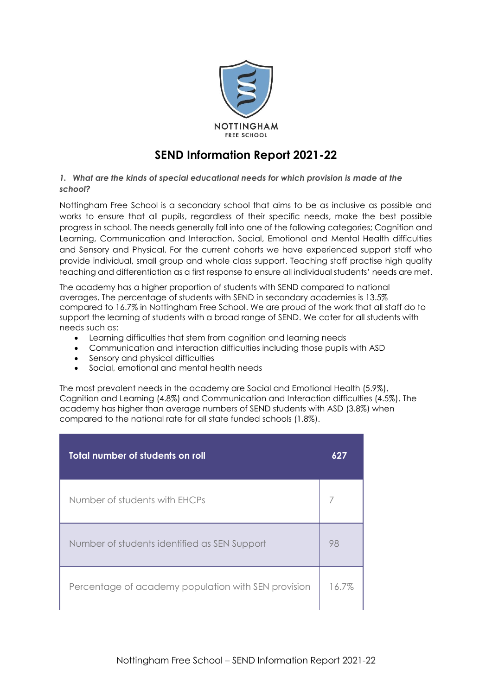

# **SEND Information Report 2021-22**

# *1. What are the kinds of special educational needs for which provision is made at the school?*

Nottingham Free School is a secondary school that aims to be as inclusive as possible and works to ensure that all pupils, regardless of their specific needs, make the best possible progress in school. The needs generally fall into one of the following categories; Cognition and Learning, Communication and Interaction, Social, Emotional and Mental Health difficulties and Sensory and Physical. For the current cohorts we have experienced support staff who provide individual, small group and whole class support. Teaching staff practise high quality teaching and differentiation as a first response to ensure all individual students' needs are met.

The academy has a higher proportion of students with SEND compared to national averages. The percentage of students with SEND in secondary academies is 13.5% compared to 16.7% in Nottingham Free School. We are proud of the work that all staff do to support the learning of students with a broad range of SEND. We cater for all students with needs such as:

- Learning difficulties that stem from cognition and learning needs
- Communication and interaction difficulties including those pupils with ASD
- Sensory and physical difficulties
- Social, emotional and mental health needs

The most prevalent needs in the academy are Social and Emotional Health (5.9%), Cognition and Learning (4.8%) and Communication and Interaction difficulties (4.5%). The academy has higher than average numbers of SEND students with ASD (3.8%) when compared to the national rate for all state funded schools (1.8%).

| Total number of students on roll                    | 627   |
|-----------------------------------------------------|-------|
| Number of students with EHCPs                       |       |
| Number of students identified as SEN Support        | 98    |
| Percentage of academy population with SEN provision | 16.7% |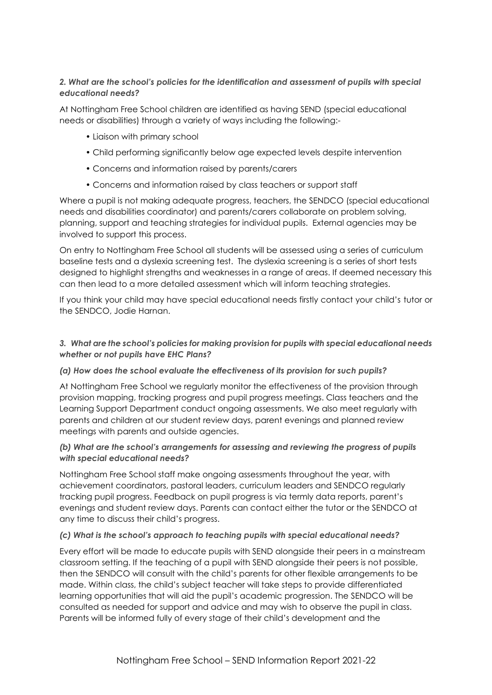# *2. What are the school's policies for the identification and assessment of pupils with special educational needs?*

At Nottingham Free School children are identified as having SEND (special educational needs or disabilities) through a variety of ways including the following:-

- Liaison with primary school
- Child performing significantly below age expected levels despite intervention
- Concerns and information raised by parents/carers
- Concerns and information raised by class teachers or support staff

Where a pupil is not making adequate progress, teachers, the SENDCO (special educational needs and disabilities coordinator) and parents/carers collaborate on problem solving, planning, support and teaching strategies for individual pupils. External agencies may be involved to support this process.

On entry to Nottingham Free School all students will be assessed using a series of curriculum baseline tests and a dyslexia screening test. The dyslexia screening is a series of short tests designed to highlight strengths and weaknesses in a range of areas. If deemed necessary this can then lead to a more detailed assessment which will inform teaching strategies.

If you think your child may have special educational needs firstly contact your child's tutor or the SENDCO, Jodie Harnan.

# *3. What are the school's policies for making provision for pupils with special educational needs whether or not pupils have EHC Plans?*

# *(a) How does the school evaluate the effectiveness of its provision for such pupils?*

At Nottingham Free School we regularly monitor the effectiveness of the provision through provision mapping, tracking progress and pupil progress meetings. Class teachers and the Learning Support Department conduct ongoing assessments. We also meet regularly with parents and children at our student review days, parent evenings and planned review meetings with parents and outside agencies.

# *(b) What are the school's arrangements for assessing and reviewing the progress of pupils with special educational needs?*

Nottingham Free School staff make ongoing assessments throughout the year, with achievement coordinators, pastoral leaders, curriculum leaders and SENDCO regularly tracking pupil progress. Feedback on pupil progress is via termly data reports, parent's evenings and student review days. Parents can contact either the tutor or the SENDCO at any time to discuss their child's progress.

#### *(c) What is the school's approach to teaching pupils with special educational needs?*

Every effort will be made to educate pupils with SEND alongside their peers in a mainstream classroom setting. If the teaching of a pupil with SEND alongside their peers is not possible, then the SENDCO will consult with the child's parents for other flexible arrangements to be made. Within class, the child's subject teacher will take steps to provide differentiated learning opportunities that will aid the pupil's academic progression. The SENDCO will be consulted as needed for support and advice and may wish to observe the pupil in class. Parents will be informed fully of every stage of their child's development and the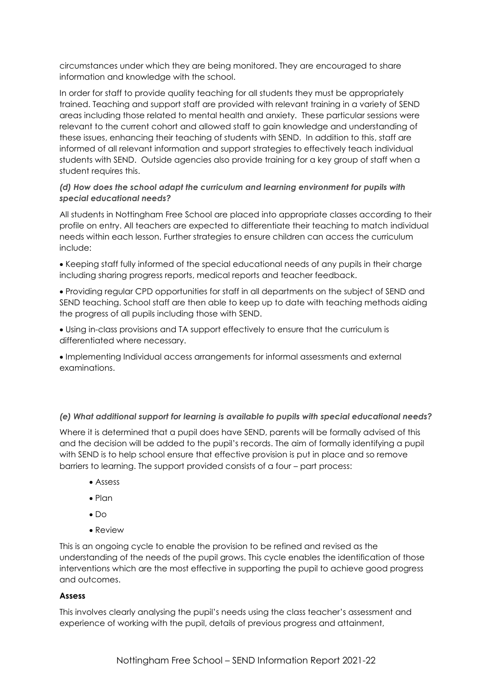circumstances under which they are being monitored. They are encouraged to share information and knowledge with the school.

In order for staff to provide quality teaching for all students they must be appropriately trained. Teaching and support staff are provided with relevant training in a variety of SEND areas including those related to mental health and anxiety. These particular sessions were relevant to the current cohort and allowed staff to gain knowledge and understanding of these issues, enhancing their teaching of students with SEND. In addition to this, staff are informed of all relevant information and support strategies to effectively teach individual students with SEND. Outside agencies also provide training for a key group of staff when a student requires this.

# *(d) How does the school adapt the curriculum and learning environment for pupils with special educational needs?*

All students in Nottingham Free School are placed into appropriate classes according to their profile on entry. All teachers are expected to differentiate their teaching to match individual needs within each lesson. Further strategies to ensure children can access the curriculum include:

• Keeping staff fully informed of the special educational needs of any pupils in their charge including sharing progress reports, medical reports and teacher feedback.

• Providing regular CPD opportunities for staff in all departments on the subject of SEND and SEND teaching. School staff are then able to keep up to date with teaching methods aiding the progress of all pupils including those with SEND.

• Using in-class provisions and TA support effectively to ensure that the curriculum is differentiated where necessary.

• Implementing Individual access arrangements for informal assessments and external examinations.

# *(e) What additional support for learning is available to pupils with special educational needs?*

Where it is determined that a pupil does have SEND, parents will be formally advised of this and the decision will be added to the pupil's records. The aim of formally identifying a pupil with SEND is to help school ensure that effective provision is put in place and so remove barriers to learning. The support provided consists of a four – part process:

- Assess
- Plan
- Do
- Review

This is an ongoing cycle to enable the provision to be refined and revised as the understanding of the needs of the pupil grows. This cycle enables the identification of those interventions which are the most effective in supporting the pupil to achieve good progress and outcomes.

# **Assess**

This involves clearly analysing the pupil's needs using the class teacher's assessment and experience of working with the pupil, details of previous progress and attainment,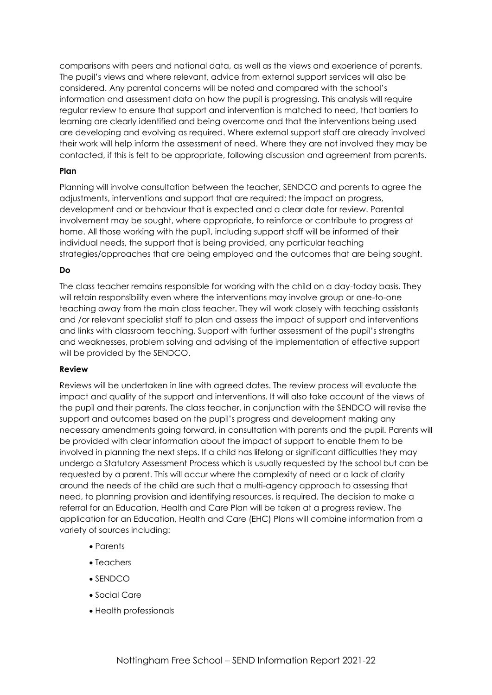comparisons with peers and national data, as well as the views and experience of parents. The pupil's views and where relevant, advice from external support services will also be considered. Any parental concerns will be noted and compared with the school's information and assessment data on how the pupil is progressing. This analysis will require regular review to ensure that support and intervention is matched to need, that barriers to learning are clearly identified and being overcome and that the interventions being used are developing and evolving as required. Where external support staff are already involved their work will help inform the assessment of need. Where they are not involved they may be contacted, if this is felt to be appropriate, following discussion and agreement from parents.

#### **Plan**

Planning will involve consultation between the teacher, SENDCO and parents to agree the adjustments, interventions and support that are required; the impact on progress, development and or behaviour that is expected and a clear date for review. Parental involvement may be sought, where appropriate, to reinforce or contribute to progress at home. All those working with the pupil, including support staff will be informed of their individual needs, the support that is being provided, any particular teaching strategies/approaches that are being employed and the outcomes that are being sought.

# **Do**

The class teacher remains responsible for working with the child on a day-today basis. They will retain responsibility even where the interventions may involve group or one-to-one teaching away from the main class teacher. They will work closely with teaching assistants and /or relevant specialist staff to plan and assess the impact of support and interventions and links with classroom teaching. Support with further assessment of the pupil's strengths and weaknesses, problem solving and advising of the implementation of effective support will be provided by the SENDCO.

#### **Review**

Reviews will be undertaken in line with agreed dates. The review process will evaluate the impact and quality of the support and interventions. It will also take account of the views of the pupil and their parents. The class teacher, in conjunction with the SENDCO will revise the support and outcomes based on the pupil's progress and development making any necessary amendments going forward, in consultation with parents and the pupil. Parents will be provided with clear information about the impact of support to enable them to be involved in planning the next steps. If a child has lifelong or significant difficulties they may undergo a Statutory Assessment Process which is usually requested by the school but can be requested by a parent. This will occur where the complexity of need or a lack of clarity around the needs of the child are such that a multi-agency approach to assessing that need, to planning provision and identifying resources, is required. The decision to make a referral for an Education, Health and Care Plan will be taken at a progress review. The application for an Education, Health and Care (EHC) Plans will combine information from a variety of sources including:

- Parents
- Teachers
- SENDCO
- Social Care
- Health professionals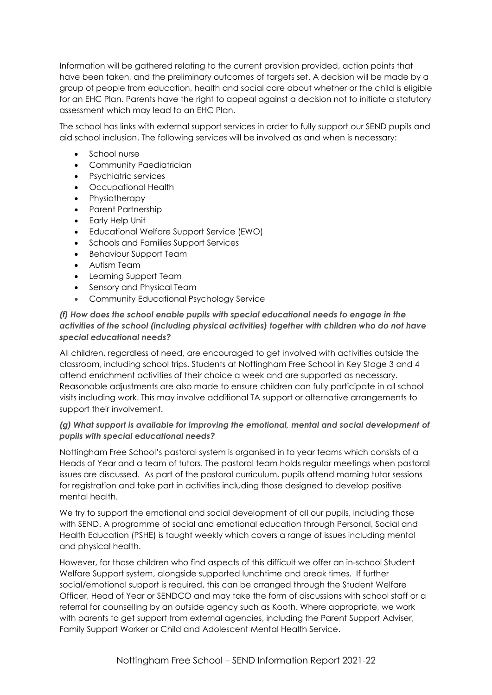Information will be gathered relating to the current provision provided, action points that have been taken, and the preliminary outcomes of targets set. A decision will be made by a group of people from education, health and social care about whether or the child is eligible for an EHC Plan. Parents have the right to appeal against a decision not to initiate a statutory assessment which may lead to an EHC Plan.

The school has links with external support services in order to fully support our SEND pupils and aid school inclusion. The following services will be involved as and when is necessary:

- School nurse
- Community Paediatrician
- Psychiatric services
- Occupational Health
- Physiotherapy
- Parent Partnership
- Early Help Unit
- Educational Welfare Support Service (EWO)
- Schools and Families Support Services
- Behaviour Support Team
- Autism Team
- Learning Support Team
- Sensory and Physical Team
- Community Educational Psychology Service

# *(f) How does the school enable pupils with special educational needs to engage in the activities of the school (including physical activities) together with children who do not have special educational needs?*

All children, regardless of need, are encouraged to get involved with activities outside the classroom, including school trips. Students at Nottingham Free School in Key Stage 3 and 4 attend enrichment activities of their choice a week and are supported as necessary. Reasonable adjustments are also made to ensure children can fully participate in all school visits including work. This may involve additional TA support or alternative arrangements to support their involvement.

# *(g) What support is available for improving the emotional, mental and social development of pupils with special educational needs?*

Nottingham Free School's pastoral system is organised in to year teams which consists of a Heads of Year and a team of tutors. The pastoral team holds regular meetings when pastoral issues are discussed. As part of the pastoral curriculum, pupils attend morning tutor sessions for registration and take part in activities including those designed to develop positive mental health.

We try to support the emotional and social development of all our pupils, including those with SEND. A programme of social and emotional education through Personal, Social and Health Education (PSHE) is taught weekly which covers a range of issues including mental and physical health.

However, for those children who find aspects of this difficult we offer an in-school Student Welfare Support system, alongside supported lunchtime and break times. If further social/emotional support is required, this can be arranged through the Student Welfare Officer, Head of Year or SENDCO and may take the form of discussions with school staff or a referral for counselling by an outside agency such as Kooth. Where appropriate, we work with parents to get support from external agencies, including the Parent Support Adviser, Family Support Worker or Child and Adolescent Mental Health Service.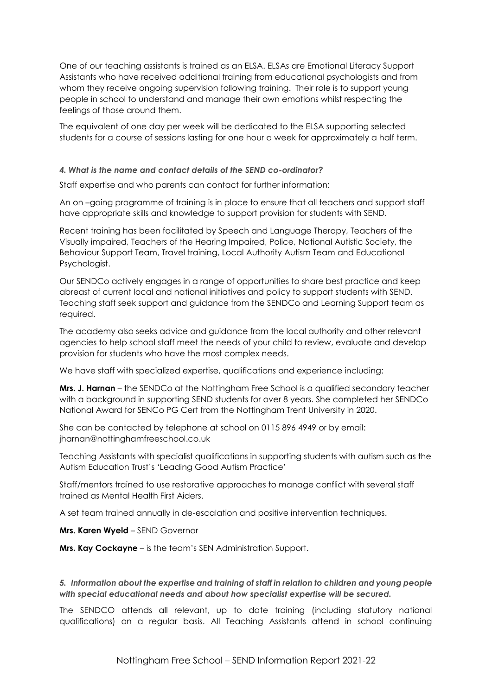One of our teaching assistants is trained as an ELSA. ELSAs are Emotional Literacy Support Assistants who have received additional training from educational psychologists and from whom they receive ongoing supervision following training. Their role is to support young people in school to understand and manage their own emotions whilst respecting the feelings of those around them.

The equivalent of one day per week will be dedicated to the ELSA supporting selected students for a course of sessions lasting for one hour a week for approximately a half term.

#### *4. What is the name and contact details of the SEND co-ordinator?*

Staff expertise and who parents can contact for further information:

An on –going programme of training is in place to ensure that all teachers and support staff have appropriate skills and knowledge to support provision for students with SEND.

Recent training has been facilitated by Speech and Language Therapy, Teachers of the Visually impaired, Teachers of the Hearing Impaired, Police, National Autistic Society, the Behaviour Support Team, Travel training, Local Authority Autism Team and Educational Psychologist.

Our SENDCo actively engages in a range of opportunities to share best practice and keep abreast of current local and national initiatives and policy to support students with SEND. Teaching staff seek support and guidance from the SENDCo and Learning Support team as required.

The academy also seeks advice and guidance from the local authority and other relevant agencies to help school staff meet the needs of your child to review, evaluate and develop provision for students who have the most complex needs.

We have staff with specialized expertise, qualifications and experience including:

**Mrs. J. Harnan** – the SENDCo at the Nottingham Free School is a qualified secondary teacher with a background in supporting SEND students for over 8 years. She completed her SENDCo National Award for SENCo PG Cert from the Nottingham Trent University in 2020.

She can be contacted by telephone at school on 0115 896 4949 or by email: jharnan@nottinghamfreeschool.co.uk

Teaching Assistants with specialist qualifications in supporting students with autism such as the Autism Education Trust's 'Leading Good Autism Practice'

Staff/mentors trained to use restorative approaches to manage conflict with several staff trained as Mental Health First Aiders.

A set team trained annually in de-escalation and positive intervention techniques.

**Mrs. Karen Wyeld** – SEND Governor

**Mrs. Kay Cockayne** – is the team's SEN Administration Support.

*5. Information about the expertise and training of staff in relation to children and young people with special educational needs and about how specialist expertise will be secured.* 

The SENDCO attends all relevant, up to date training (including statutory national qualifications) on a regular basis. All Teaching Assistants attend in school continuing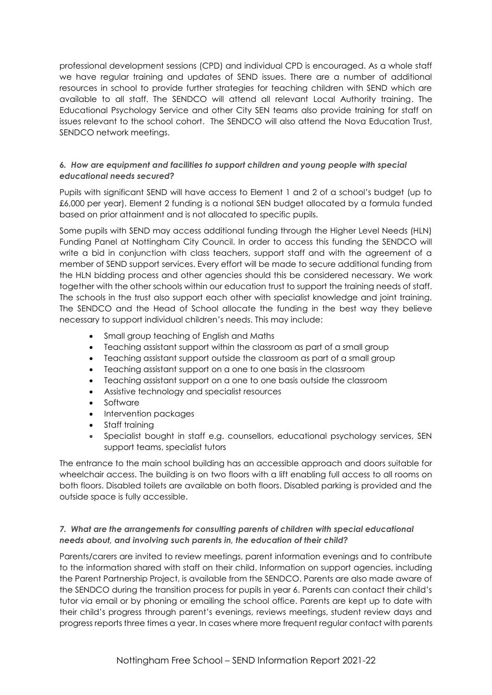professional development sessions (CPD) and individual CPD is encouraged. As a whole staff we have regular training and updates of SEND issues. There are a number of additional resources in school to provide further strategies for teaching children with SEND which are available to all staff. The SENDCO will attend all relevant Local Authority training. The Educational Psychology Service and other City SEN teams also provide training for staff on issues relevant to the school cohort. The SENDCO will also attend the Nova Education Trust, SENDCO network meetings.

# *6. How are equipment and facilities to support children and young people with special educational needs secured?*

Pupils with significant SEND will have access to Element 1 and 2 of a school's budget (up to £6,000 per year). Element 2 funding is a notional SEN budget allocated by a formula funded based on prior attainment and is not allocated to specific pupils.

Some pupils with SEND may access additional funding through the Higher Level Needs (HLN) Funding Panel at Nottingham City Council. In order to access this funding the SENDCO will write a bid in conjunction with class teachers, support staff and with the agreement of a member of SEND support services. Every effort will be made to secure additional funding from the HLN bidding process and other agencies should this be considered necessary. We work together with the other schools within our education trust to support the training needs of staff. The schools in the trust also support each other with specialist knowledge and joint training. The SENDCO and the Head of School allocate the funding in the best way they believe necessary to support individual children's needs. This may include:

- Small group teaching of English and Maths
- Teaching assistant support within the classroom as part of a small group
- Teaching assistant support outside the classroom as part of a small group
- Teaching assistant support on a one to one basis in the classroom
- Teaching assistant support on a one to one basis outside the classroom
- Assistive technology and specialist resources
- **Software**
- Intervention packages
- Staff training
- Specialist bought in staff e.g. counsellors, educational psychology services, SEN support teams, specialist tutors

The entrance to the main school building has an accessible approach and doors suitable for wheelchair access. The building is on two floors with a lift enabling full access to all rooms on both floors. Disabled toilets are available on both floors. Disabled parking is provided and the outside space is fully accessible.

# *7. What are the arrangements for consulting parents of children with special educational needs about, and involving such parents in, the education of their child?*

Parents/carers are invited to review meetings, parent information evenings and to contribute to the information shared with staff on their child. Information on support agencies, including the Parent Partnership Project, is available from the SENDCO. Parents are also made aware of the SENDCO during the transition process for pupils in year 6. Parents can contact their child's tutor via email or by phoning or emailing the school office. Parents are kept up to date with their child's progress through parent's evenings, reviews meetings, student review days and progress reports three times a year. In cases where more frequent regular contact with parents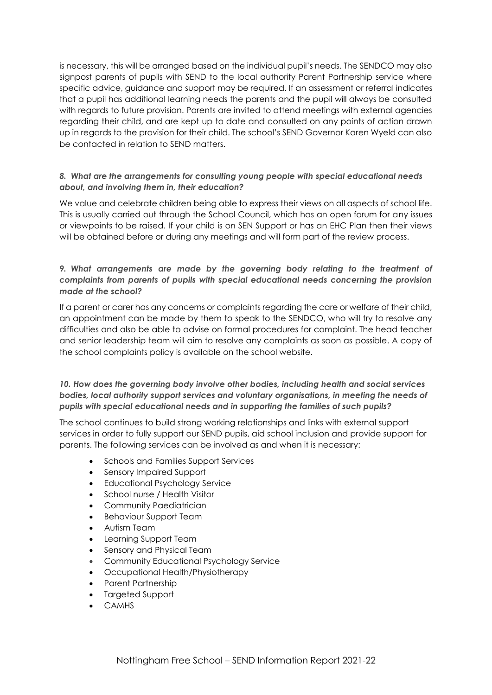is necessary, this will be arranged based on the individual pupil's needs. The SENDCO may also signpost parents of pupils with SEND to the local authority Parent Partnership service where specific advice, guidance and support may be required. If an assessment or referral indicates that a pupil has additional learning needs the parents and the pupil will always be consulted with regards to future provision. Parents are invited to attend meetings with external agencies regarding their child, and are kept up to date and consulted on any points of action drawn up in regards to the provision for their child. The school's SEND Governor Karen Wyeld can also be contacted in relation to SEND matters.

# *8. What are the arrangements for consulting young people with special educational needs about, and involving them in, their education?*

We value and celebrate children being able to express their views on all aspects of school life. This is usually carried out through the School Council, which has an open forum for any issues or viewpoints to be raised. If your child is on SEN Support or has an EHC Plan then their views will be obtained before or during any meetings and will form part of the review process.

# *9. What arrangements are made by the governing body relating to the treatment of complaints from parents of pupils with special educational needs concerning the provision made at the school?*

If a parent or carer has any concerns or complaints regarding the care or welfare of their child, an appointment can be made by them to speak to the SENDCO, who will try to resolve any difficulties and also be able to advise on formal procedures for complaint. The head teacher and senior leadership team will aim to resolve any complaints as soon as possible. A copy of the school complaints policy is available on the school website.

# *10. How does the governing body involve other bodies, including health and social services bodies, local authority support services and voluntary organisations, in meeting the needs of pupils with special educational needs and in supporting the families of such pupils?*

The school continues to build strong working relationships and links with external support services in order to fully support our SEND pupils, aid school inclusion and provide support for parents. The following services can be involved as and when it is necessary:

- Schools and Families Support Services
- Sensory Impaired Support
- Educational Psychology Service
- School nurse / Health Visitor
- Community Paediatrician
- Behaviour Support Team
- Autism Team
- Learning Support Team
- Sensory and Physical Team
- Community Educational Psychology Service
- Occupational Health/Physiotherapy
- Parent Partnership
- Targeted Support
- CAMHS